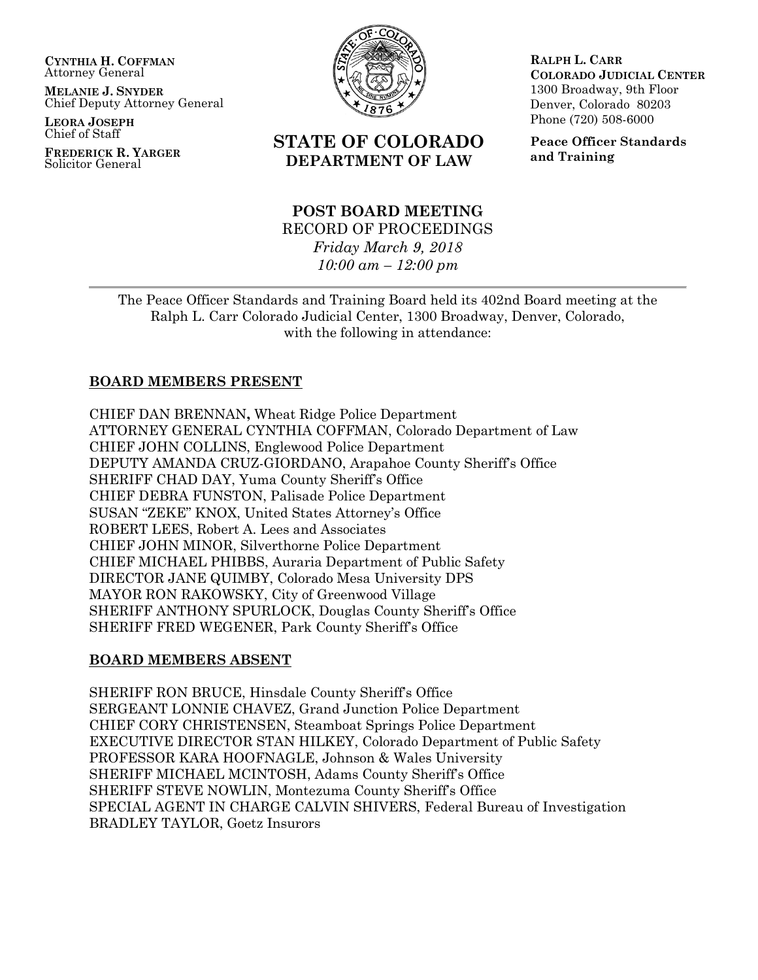**CYNTHIA H. COFFMAN** Attorney General

**MELANIE J. SNYDER** Chief Deputy Attorney General

**LEORA JOSEPH** Chief of Staff

**FREDERICK R. YARGER** Solicitor General



# **STATE OF COLORADO DEPARTMENT OF LAW**

# **POST BOARD MEETING** RECORD OF PROCEEDINGS *Friday March 9, 2018 10:00 am – 12:00 pm*

**RALPH L. CARR COLORADO JUDICIAL CENTER** 1300 Broadway, 9th Floor Denver, Colorado 80203 Phone (720) 508-6000

**Peace Officer Standards and Training**

The Peace Officer Standards and Training Board held its 402nd Board meeting at the Ralph L. Carr Colorado Judicial Center, 1300 Broadway, Denver, Colorado, with the following in attendance:

# **BOARD MEMBERS PRESENT**

CHIEF DAN BRENNAN**,** Wheat Ridge Police Department ATTORNEY GENERAL CYNTHIA COFFMAN, Colorado Department of Law CHIEF JOHN COLLINS, Englewood Police Department DEPUTY AMANDA CRUZ-GIORDANO, Arapahoe County Sheriff's Office SHERIFF CHAD DAY, Yuma County Sheriff's Office CHIEF DEBRA FUNSTON, Palisade Police Department SUSAN "ZEKE" KNOX, United States Attorney's Office ROBERT LEES, Robert A. Lees and Associates CHIEF JOHN MINOR, Silverthorne Police Department CHIEF MICHAEL PHIBBS, Auraria Department of Public Safety DIRECTOR JANE QUIMBY, Colorado Mesa University DPS MAYOR RON RAKOWSKY, City of Greenwood Village SHERIFF ANTHONY SPURLOCK, Douglas County Sheriff's Office SHERIFF FRED WEGENER, Park County Sheriff's Office

#### **BOARD MEMBERS ABSENT**

SHERIFF RON BRUCE, Hinsdale County Sheriff's Office SERGEANT LONNIE CHAVEZ, Grand Junction Police Department CHIEF CORY CHRISTENSEN, Steamboat Springs Police Department EXECUTIVE DIRECTOR STAN HILKEY, Colorado Department of Public Safety PROFESSOR KARA HOOFNAGLE, Johnson & Wales University SHERIFF MICHAEL MCINTOSH, Adams County Sheriff's Office SHERIFF STEVE NOWLIN, Montezuma County Sheriff's Office SPECIAL AGENT IN CHARGE CALVIN SHIVERS, Federal Bureau of Investigation BRADLEY TAYLOR, Goetz Insurors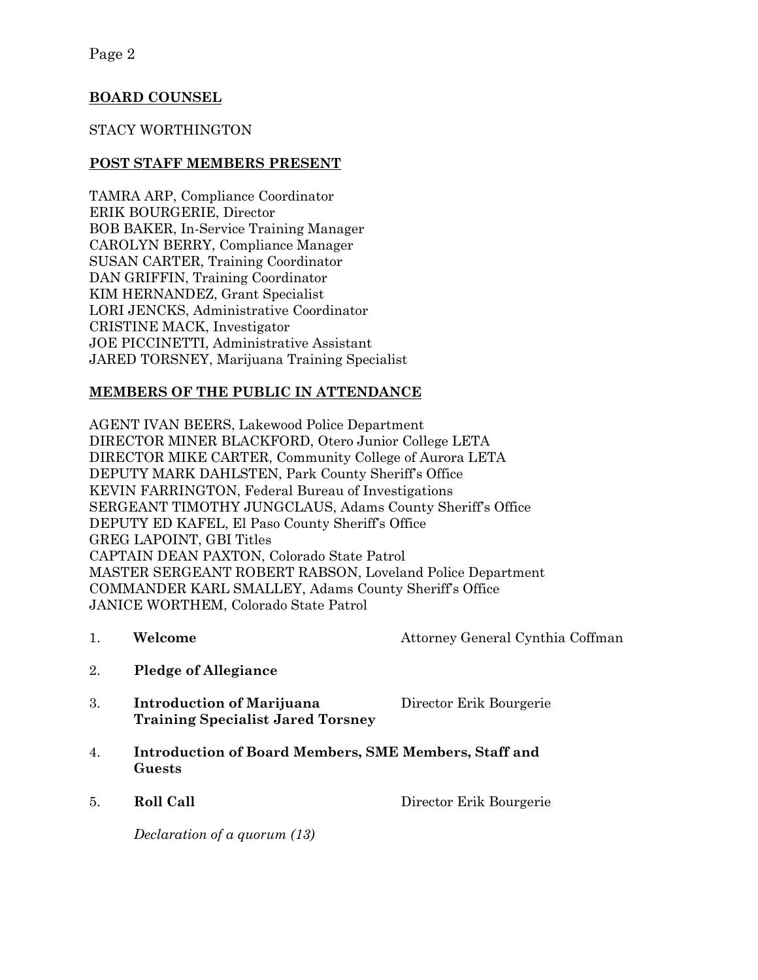# **BOARD COUNSEL**

#### STACY WORTHINGTON

#### **POST STAFF MEMBERS PRESENT**

TAMRA ARP, Compliance Coordinator ERIK BOURGERIE, Director BOB BAKER, In-Service Training Manager CAROLYN BERRY, Compliance Manager SUSAN CARTER, Training Coordinator DAN GRIFFIN, Training Coordinator KIM HERNANDEZ, Grant Specialist LORI JENCKS, Administrative Coordinator CRISTINE MACK, Investigator JOE PICCINETTI, Administrative Assistant JARED TORSNEY, Marijuana Training Specialist

### **MEMBERS OF THE PUBLIC IN ATTENDANCE**

AGENT IVAN BEERS, Lakewood Police Department DIRECTOR MINER BLACKFORD, Otero Junior College LETA DIRECTOR MIKE CARTER, Community College of Aurora LETA DEPUTY MARK DAHLSTEN, Park County Sheriff's Office KEVIN FARRINGTON, Federal Bureau of Investigations SERGEANT TIMOTHY JUNGCLAUS, Adams County Sheriff's Office DEPUTY ED KAFEL, El Paso County Sheriff's Office GREG LAPOINT, GBI Titles CAPTAIN DEAN PAXTON, Colorado State Patrol MASTER SERGEANT ROBERT RABSON, Loveland Police Department COMMANDER KARL SMALLEY, Adams County Sheriff's Office JANICE WORTHEM, Colorado State Patrol

1. **Welcome** Attorney General Cynthia Coffman

- 2. **Pledge of Allegiance**
- 3. **Introduction of Marijuana** Director Erik Bourgerie **Training Specialist Jared Torsney**
- 4. **Introduction of Board Members, SME Members, Staff and Guests**
- 

5. **Roll Call** Director Erik Bourgerie

*Declaration of a quorum (13)*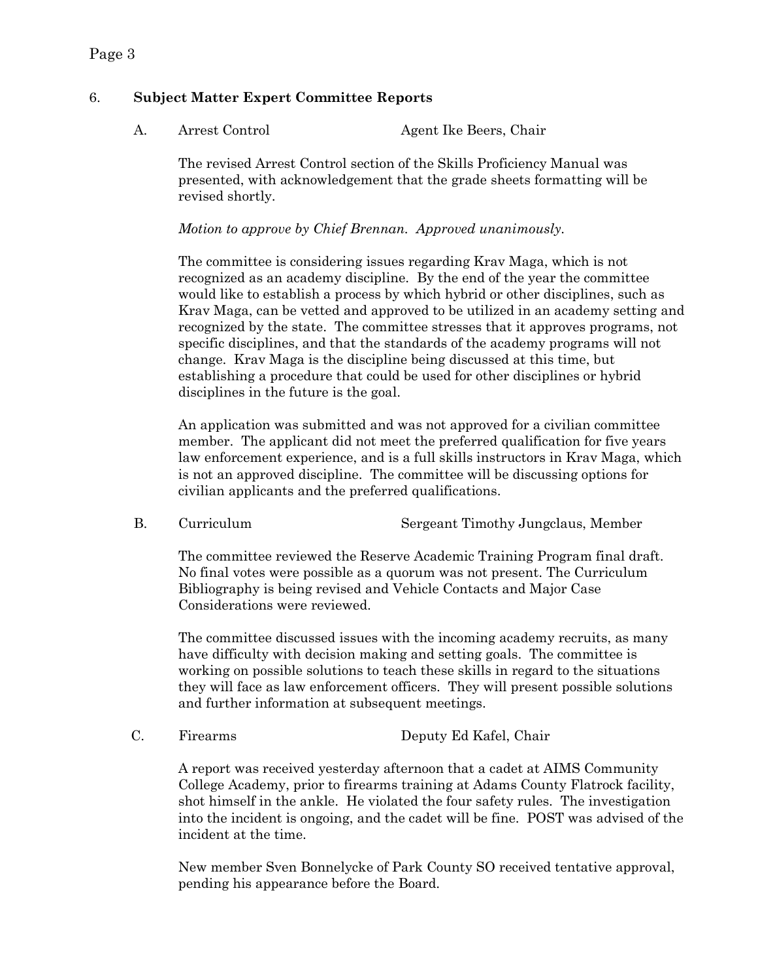# 6. **Subject Matter Expert Committee Reports**

A. Arrest Control Agent Ike Beers, Chair

The revised Arrest Control section of the Skills Proficiency Manual was presented, with acknowledgement that the grade sheets formatting will be revised shortly.

*Motion to approve by Chief Brennan. Approved unanimously.*

The committee is considering issues regarding Krav Maga, which is not recognized as an academy discipline. By the end of the year the committee would like to establish a process by which hybrid or other disciplines, such as Krav Maga, can be vetted and approved to be utilized in an academy setting and recognized by the state. The committee stresses that it approves programs, not specific disciplines, and that the standards of the academy programs will not change. Krav Maga is the discipline being discussed at this time, but establishing a procedure that could be used for other disciplines or hybrid disciplines in the future is the goal.

An application was submitted and was not approved for a civilian committee member. The applicant did not meet the preferred qualification for five years law enforcement experience, and is a full skills instructors in Krav Maga, which is not an approved discipline. The committee will be discussing options for civilian applicants and the preferred qualifications.

B. Curriculum Sergeant Timothy Jungclaus, Member

The committee reviewed the Reserve Academic Training Program final draft. No final votes were possible as a quorum was not present. The Curriculum Bibliography is being revised and Vehicle Contacts and Major Case Considerations were reviewed.

The committee discussed issues with the incoming academy recruits, as many have difficulty with decision making and setting goals. The committee is working on possible solutions to teach these skills in regard to the situations they will face as law enforcement officers. They will present possible solutions and further information at subsequent meetings.

C. Firearms Deputy Ed Kafel, Chair

A report was received yesterday afternoon that a cadet at AIMS Community College Academy, prior to firearms training at Adams County Flatrock facility, shot himself in the ankle. He violated the four safety rules. The investigation into the incident is ongoing, and the cadet will be fine. POST was advised of the incident at the time.

New member Sven Bonnelycke of Park County SO received tentative approval, pending his appearance before the Board.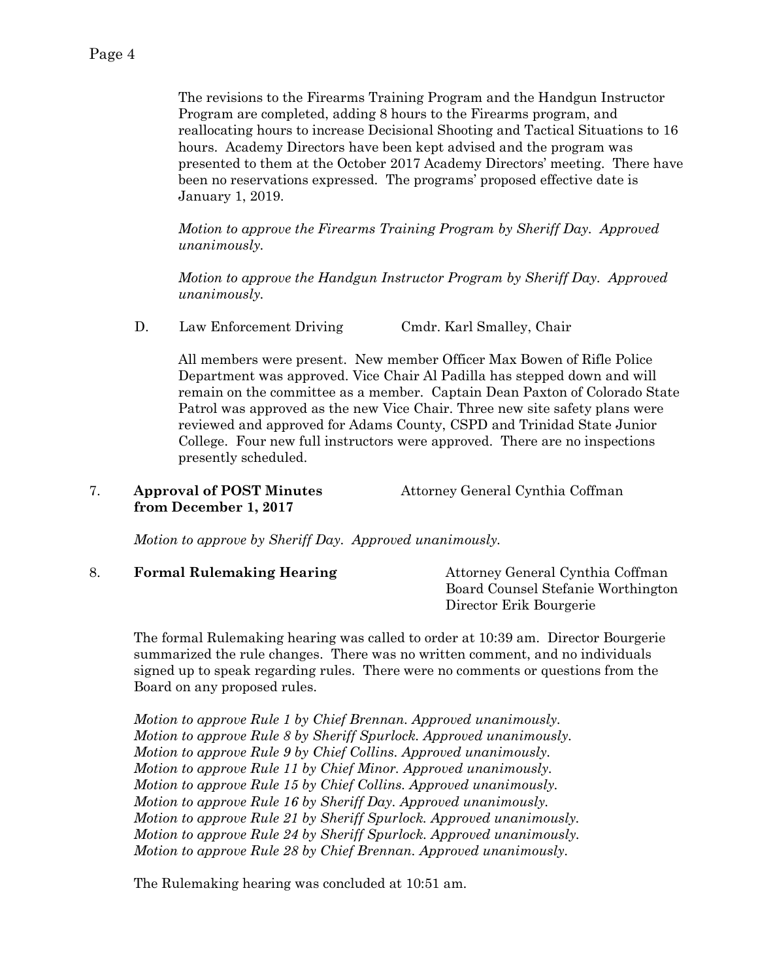The revisions to the Firearms Training Program and the Handgun Instructor Program are completed, adding 8 hours to the Firearms program, and reallocating hours to increase Decisional Shooting and Tactical Situations to 16 hours. Academy Directors have been kept advised and the program was presented to them at the October 2017 Academy Directors' meeting. There have been no reservations expressed. The programs' proposed effective date is January 1, 2019.

*Motion to approve the Firearms Training Program by Sheriff Day. Approved unanimously.*

*Motion to approve the Handgun Instructor Program by Sheriff Day. Approved unanimously.* 

D. Law Enforcement Driving Cmdr. Karl Smalley, Chair

All members were present. New member Officer Max Bowen of Rifle Police Department was approved. Vice Chair Al Padilla has stepped down and will remain on the committee as a member. Captain Dean Paxton of Colorado State Patrol was approved as the new Vice Chair. Three new site safety plans were reviewed and approved for Adams County, CSPD and Trinidad State Junior College. Four new full instructors were approved. There are no inspections presently scheduled.

| <b>Approval of POST Minutes</b> | Attorney General Cynthia Coffman |
|---------------------------------|----------------------------------|
| from December 1, 2017           |                                  |

*Motion to approve by Sheriff Day. Approved unanimously.*

| <b>Formal Rulemaking Hearing</b> | Attorney General Cynthia Coffman   |
|----------------------------------|------------------------------------|
|                                  | Board Counsel Stefanie Worthington |
|                                  | Director Erik Bourgerie            |

The formal Rulemaking hearing was called to order at 10:39 am. Director Bourgerie summarized the rule changes. There was no written comment, and no individuals signed up to speak regarding rules. There were no comments or questions from the Board on any proposed rules.

*Motion to approve Rule 1 by Chief Brennan. Approved unanimously. Motion to approve Rule 8 by Sheriff Spurlock. Approved unanimously. Motion to approve Rule 9 by Chief Collins. Approved unanimously. Motion to approve Rule 11 by Chief Minor. Approved unanimously. Motion to approve Rule 15 by Chief Collins. Approved unanimously. Motion to approve Rule 16 by Sheriff Day. Approved unanimously. Motion to approve Rule 21 by Sheriff Spurlock. Approved unanimously. Motion to approve Rule 24 by Sheriff Spurlock. Approved unanimously. Motion to approve Rule 28 by Chief Brennan. Approved unanimously.*

The Rulemaking hearing was concluded at 10:51 am.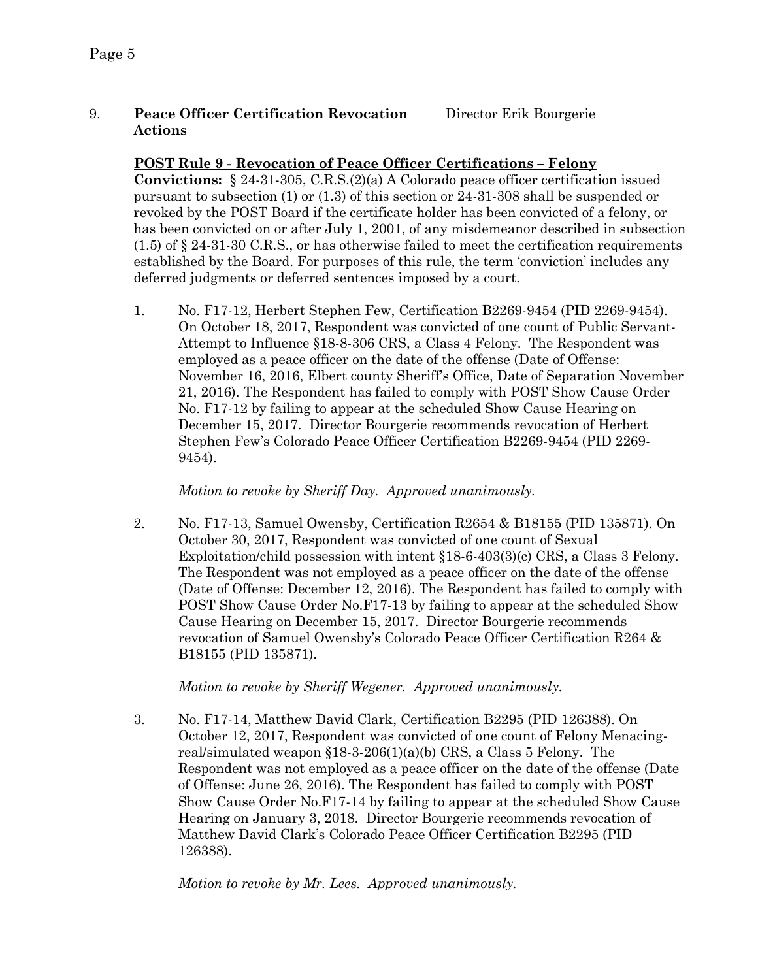# 9. **Peace Officer Certification Revocation** Director Erik Bourgerie **Actions**

#### **POST Rule 9 - Revocation of Peace Officer Certifications – Felony**

**Convictions:** § 24-31-305, C.R.S.(2)(a) A Colorado peace officer certification issued pursuant to subsection (1) or (1.3) of this section or 24-31-308 shall be suspended or revoked by the POST Board if the certificate holder has been convicted of a felony, or has been convicted on or after July 1, 2001, of any misdemeanor described in subsection  $(1.5)$  of § 24-31-30 C.R.S., or has otherwise failed to meet the certification requirements established by the Board. For purposes of this rule, the term 'conviction' includes any deferred judgments or deferred sentences imposed by a court.

1. No. F17-12, Herbert Stephen Few, Certification B2269-9454 (PID 2269-9454). On October 18, 2017, Respondent was convicted of one count of Public Servant-Attempt to Influence §18-8-306 CRS, a Class 4 Felony. The Respondent was employed as a peace officer on the date of the offense (Date of Offense: November 16, 2016, Elbert county Sheriff's Office, Date of Separation November 21, 2016). The Respondent has failed to comply with POST Show Cause Order No. F17-12 by failing to appear at the scheduled Show Cause Hearing on December 15, 2017. Director Bourgerie recommends revocation of Herbert Stephen Few's Colorado Peace Officer Certification B2269-9454 (PID 2269- 9454).

*Motion to revoke by Sheriff Day. Approved unanimously.* 

2. No. F17-13, Samuel Owensby, Certification R2654 & B18155 (PID 135871). On October 30, 2017, Respondent was convicted of one count of Sexual Exploitation/child possession with intent §18-6-403(3)(c) CRS, a Class 3 Felony. The Respondent was not employed as a peace officer on the date of the offense (Date of Offense: December 12, 2016). The Respondent has failed to comply with POST Show Cause Order No.F17-13 by failing to appear at the scheduled Show Cause Hearing on December 15, 2017. Director Bourgerie recommends revocation of Samuel Owensby's Colorado Peace Officer Certification R264 & B18155 (PID 135871).

*Motion to revoke by Sheriff Wegener. Approved unanimously.* 

3. No. F17-14, Matthew David Clark, Certification B2295 (PID 126388). On October 12, 2017, Respondent was convicted of one count of Felony Menacingreal/simulated weapon §18-3-206(1)(a)(b) CRS, a Class 5 Felony. The Respondent was not employed as a peace officer on the date of the offense (Date of Offense: June 26, 2016). The Respondent has failed to comply with POST Show Cause Order No.F17-14 by failing to appear at the scheduled Show Cause Hearing on January 3, 2018. Director Bourgerie recommends revocation of Matthew David Clark's Colorado Peace Officer Certification B2295 (PID 126388).

*Motion to revoke by Mr. Lees. Approved unanimously.*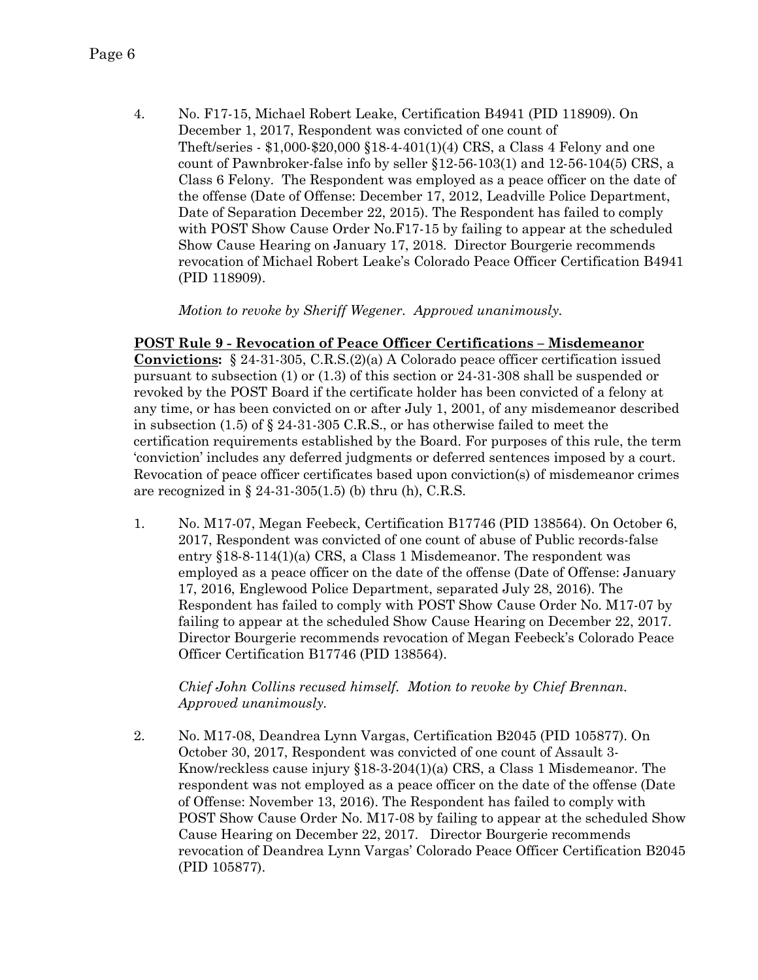4. No. F17-15, Michael Robert Leake, Certification B4941 (PID 118909). On December 1, 2017, Respondent was convicted of one count of Theft/series - \$1,000-\$20,000 §18-4-401(1)(4) CRS, a Class 4 Felony and one count of Pawnbroker-false info by seller §12-56-103(1) and 12-56-104(5) CRS, a Class 6 Felony. The Respondent was employed as a peace officer on the date of the offense (Date of Offense: December 17, 2012, Leadville Police Department, Date of Separation December 22, 2015). The Respondent has failed to comply with POST Show Cause Order No.F17-15 by failing to appear at the scheduled Show Cause Hearing on January 17, 2018. Director Bourgerie recommends revocation of Michael Robert Leake's Colorado Peace Officer Certification B4941 (PID 118909).

*Motion to revoke by Sheriff Wegener. Approved unanimously.* 

**POST Rule 9 - Revocation of Peace Officer Certifications – Misdemeanor Convictions:** § 24-31-305, C.R.S.(2)(a) A Colorado peace officer certification issued pursuant to subsection (1) or (1.3) of this section or 24-31-308 shall be suspended or revoked by the POST Board if the certificate holder has been convicted of a felony at any time, or has been convicted on or after July 1, 2001, of any misdemeanor described in subsection (1.5) of § 24-31-305 C.R.S., or has otherwise failed to meet the certification requirements established by the Board. For purposes of this rule, the term 'conviction' includes any deferred judgments or deferred sentences imposed by a court. Revocation of peace officer certificates based upon conviction(s) of misdemeanor crimes are recognized in  $\S$  24-31-305(1.5) (b) thru (h), C.R.S.

1. No. M17-07, Megan Feebeck, Certification B17746 (PID 138564). On October 6, 2017, Respondent was convicted of one count of abuse of Public records-false entry §18-8-114(1)(a) CRS, a Class 1 Misdemeanor. The respondent was employed as a peace officer on the date of the offense (Date of Offense: January 17, 2016, Englewood Police Department, separated July 28, 2016). The Respondent has failed to comply with POST Show Cause Order No. M17-07 by failing to appear at the scheduled Show Cause Hearing on December 22, 2017. Director Bourgerie recommends revocation of Megan Feebeck's Colorado Peace Officer Certification B17746 (PID 138564).

*Chief John Collins recused himself. Motion to revoke by Chief Brennan. Approved unanimously.* 

2. No. M17-08, Deandrea Lynn Vargas, Certification B2045 (PID 105877). On October 30, 2017, Respondent was convicted of one count of Assault 3- Know/reckless cause injury §18-3-204(1)(a) CRS, a Class 1 Misdemeanor. The respondent was not employed as a peace officer on the date of the offense (Date of Offense: November 13, 2016). The Respondent has failed to comply with POST Show Cause Order No. M17-08 by failing to appear at the scheduled Show Cause Hearing on December 22, 2017. Director Bourgerie recommends revocation of Deandrea Lynn Vargas' Colorado Peace Officer Certification B2045 (PID 105877).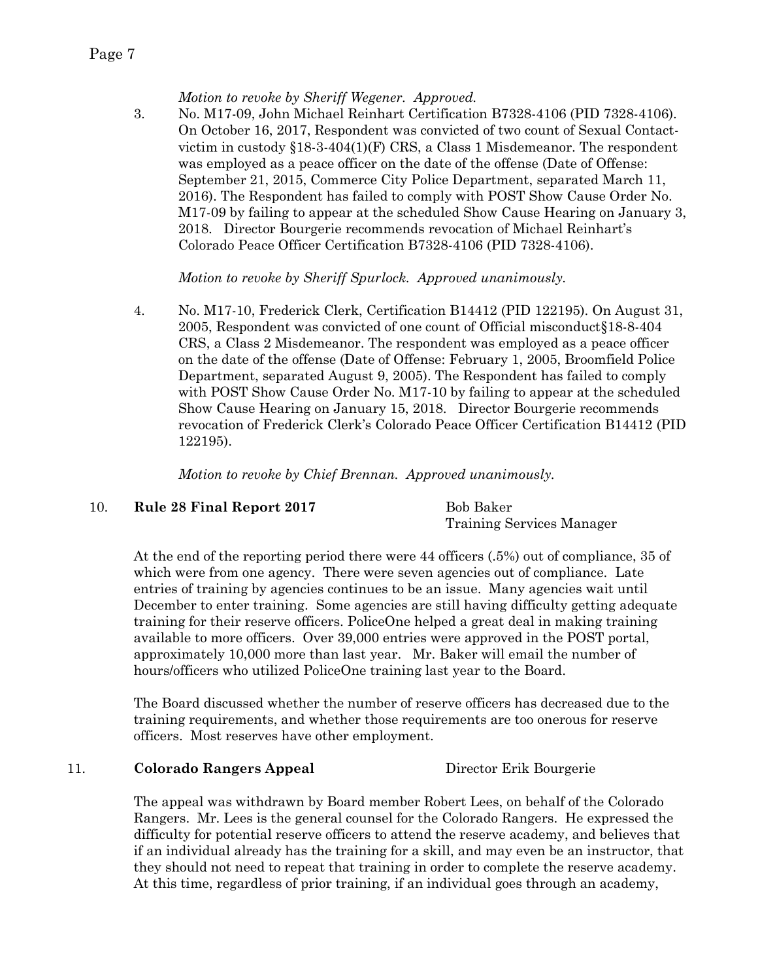#### *Motion to revoke by Sheriff Wegener. Approved.*

3. No. M17-09, John Michael Reinhart Certification B7328-4106 (PID 7328-4106). On October 16, 2017, Respondent was convicted of two count of Sexual Contactvictim in custody  $\S18-3-404(1)$  (F) CRS, a Class 1 Misdemeanor. The respondent was employed as a peace officer on the date of the offense (Date of Offense: September 21, 2015, Commerce City Police Department, separated March 11, 2016). The Respondent has failed to comply with POST Show Cause Order No. M17-09 by failing to appear at the scheduled Show Cause Hearing on January 3, 2018. Director Bourgerie recommends revocation of Michael Reinhart's Colorado Peace Officer Certification B7328-4106 (PID 7328-4106).

*Motion to revoke by Sheriff Spurlock. Approved unanimously.* 

4. No. M17-10, Frederick Clerk, Certification B14412 (PID 122195). On August 31, 2005, Respondent was convicted of one count of Official misconduct§18-8-404 CRS, a Class 2 Misdemeanor. The respondent was employed as a peace officer on the date of the offense (Date of Offense: February 1, 2005, Broomfield Police Department, separated August 9, 2005). The Respondent has failed to comply with POST Show Cause Order No. M17-10 by failing to appear at the scheduled Show Cause Hearing on January 15, 2018. Director Bourgerie recommends revocation of Frederick Clerk's Colorado Peace Officer Certification B14412 (PID 122195).

*Motion to revoke by Chief Brennan. Approved unanimously.* 

#### 10. **Rule 28 Final Report 2017** Bob Baker

Training Services Manager

At the end of the reporting period there were 44 officers (.5%) out of compliance, 35 of which were from one agency. There were seven agencies out of compliance. Late entries of training by agencies continues to be an issue. Many agencies wait until December to enter training. Some agencies are still having difficulty getting adequate training for their reserve officers. PoliceOne helped a great deal in making training available to more officers. Over 39,000 entries were approved in the POST portal, approximately 10,000 more than last year. Mr. Baker will email the number of hours/officers who utilized PoliceOne training last year to the Board.

The Board discussed whether the number of reserve officers has decreased due to the training requirements, and whether those requirements are too onerous for reserve officers. Most reserves have other employment.

#### 11. **Colorado Rangers Appeal** Director Erik Bourgerie

The appeal was withdrawn by Board member Robert Lees, on behalf of the Colorado Rangers. Mr. Lees is the general counsel for the Colorado Rangers. He expressed the difficulty for potential reserve officers to attend the reserve academy, and believes that if an individual already has the training for a skill, and may even be an instructor, that they should not need to repeat that training in order to complete the reserve academy. At this time, regardless of prior training, if an individual goes through an academy,